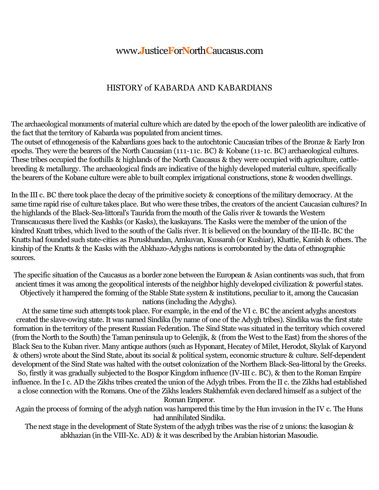## www.**J**ustice**F**or**N**orth**C**aucasus.com

## HISTORY of KABARDA AND KABARDIANS

The archaeological monuments of material culture which are dated by the epoch of the lower paleolith are indicative of the fact that the territory of Kabarda was populated from ancient times.

The outset of ethnogenesis of the Kabardians goes back to the autochtonic Caucasian tribes of the Bronze & Early Iron epochs. They were the bearers of the North Caucasian (111-11c. BC) & Kobane (11-1c. BC) archaeological cultures. These tribes occupied the foothills & highlands of the North Caucasus & they were occupied with agriculture, cattle breeding & metallurgy. The archaeological finds are indicative of the highly developed material culture, specifically the bearers of the Kobane culture were able to built complex irrigational constructions, stone & wooden dwellings.

In the III c. BC there took place the decay of the primitive society & conceptions of the military democracy. At the same time rapid rise of culture takes place. But who were these tribes, the creators of the ancient Caucasian cultures? In the highlands of the Black-Sea-littoral's Taurida from the mouth of the Galis river & towards the Western Transcaucasus there lived the Kashks (or Kasks), the kaskayans. The Kasks were the member of the union of the kindred Knatt tribes, which lived to the south of the Galis river. It is believed on the boundary of the III-IIc. BC the Knatts had founded such state-cities as Puruskhandan, Amkuvan, Kussarah (or Kushiar), Khattie, Kanish & others. The kinship of the Knatts & the Kasks with the Abkhazo-Adyghs nations is corroborated by the data of ethnographic sources.

The specific situation of the Caucasus as a border zone between the European & Asian continents was such, that from ancient times it was among the geopolitical interests of the neighbor highly developed civilization & powerful states. Objectively it hampered the forming of the Stable State system & institutions, peculiar to it, among the Caucasian nations (including the Adyghs).

At the same time such attempts took place. For example, in the end of the VI c. BC the ancient adyghs ancestors created the slave-owing state. It was named Sindika (by name of one of the Adygh tribes). Sindika was the first state formation in the territory of the present Russian Federation. The Sind State was situated in the territory which covered (from the North to the South) the Taman peninsula up to Gelenjik,  $\&$  (from the West to the East) from the shores of the Black Sea to the Kuban river. Many antique authors (such as Hyponant, Hecatey of Milet, Herodot, Skylak of Karyond & others) wrote about the Sind State, about its social & political system, economic structure & culture. Self-dependent development of the Sind State was halted with the outset colonization of the Northern Black-Sea-littoral by the Greeks.

So, firstly it was gradually subjected to the Bospor Kingdom influence (IV-III c. BC), & then to the Roman Empire influence.In the I c. AD the Zikhs tribes created the union of the Adygh tribes. From the II c. the Zikhs had established a close connection with the Romans. One of the Zikhs leaders Stakhemfak even declared himself as a subject of the

Roman Emperor.

Again the process of forming of the adygh nation was hampered this time by the Hun invasion in the IV c. The Huns had annihilated Sindika.

The next stage in the development of State System of the adygh tribes was the rise of 2 unions: the kasogian & abkhazian (in the VIII-Xc. AD)  $\&$  it was described by the Arabian historian Masoudie.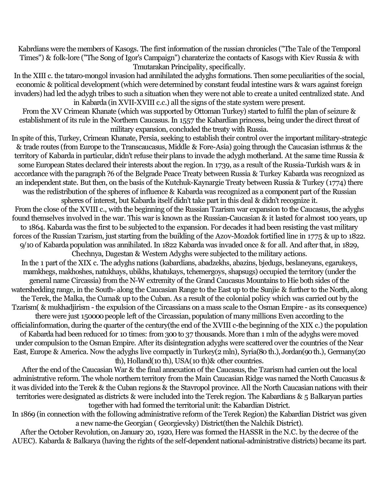Kabrdians were the members of Kasogs. The first information of the russian chronicles ("The Tale of the Temporal Times") & folk-lore ("The Song of Igor's Campaign") charaterize the contacts of Kasogs with Kiev Russia & with Tmutarakan Principality, specifically.

In the XIII c. the tataro-mongol invasion had annihilated the adyghs formations. Then some peculiarities of the social, economic & political development(which were determined by constant feudal intestine wars & wars against foreign invaders) had led the adygh tribes to such a situation when they were not able to create a united centralized state. And in Kabarda (in XVII-XVIII c.c.) all the signs of the state system were present.

From the XV Crimean Khanate (which was supported by Ottoman Turkey) started to fulfil the plan of seizure & establishment of its rule in the Northern Caucasus.In 1557 the Kabardian princess, being under the direct threat of military expansion, concluded the treaty with Russia.

In spite of this, Turkey, Crimean Khanate, Persia, seeking to establish their control over the important military-strategic & trade routes (from Europe to the Transcaucasus, Middle & Fore-Asia) going through the Caucasian isthmus & the territory of Kabarda in particular, didn't refuse their plans to invade the adygh motherland. At the same time Russia & some European States declared their interests about the region. In 1739, as a result of the Russia-Turkish wars & in accordance with the paragraph ?6 of the Belgrade Peace Treaty between Russia & Turkey Kabarda was recognized as an independent state. But then, on the basis of the Kutchuk-Kaynargie Treaty between Russia & Turkey (1774) there was the redistribution of the spheres of influence & Kabarda was recognized as a component part of the Russian spheres of interest, but Kabarda itself didn't take part in this deal & didn't recognize it.

From the close of the XVIII c., with the beginning of the Russian Tzarism war expansion to the Caucasus, the adyghs found themselves involved in the war. This war is known as the Russian-Caucasian & it lasted for almost 100 years, up to 1864. Kabarda was the first to be subjected to the expansion. For decades it had been resisting the vast military forces of the Russian Tzarism, just starting from the building of the Azov-Mozdok fortified line in 1775 & up to 1822. 9/10 of Kabarda population was annihilated. In 1822 Kabarda was invaded once & for all. And after that, in 1829,

Chechnya, Dagestan & Western Adyghs were subjected to the military actions. In the 1 part of the XIX c. The adyghs nations (kabardians, abadzekhs, abazins, bjedugs, beslaneyans, egarukeys, mamkhegs, makhoshes, natukhays, ubikhs, khatukays, tchemergoys, shapsugs) occupied the territory (under the general name Circassia) from the N-W extremity of the Grand Caucasus Mountains to Hie both sides of the watershedding range, in the South-along the Caucasian Range to the East up to the Sunjie & further to the North, along the Terek, the Malka, the Cuma& up to the Cuban. As a result of the colonial policy which was carried out by the Tzarism( & mukhadjirism - the expulsion of the Circassians on a mass scale to the Osman Empire - as its consequence) there were just 150000 people left of the Circassian, population of many millions Even according to the officialinformation, during the quarter of the century(the end of the XVIII c-the beginning of the XIX c.) the population of Kabarda had been reduced for 10 times: from 300 to 37 thousands. More than 1 mln of the adyghs were moved under compulsion to the Osman Empire. After its disintegration adyghs were scattered over the countries of the Near East, Europe & America. Now the adyghs live compactly in Turkey(2 mln), Syria(80 th.), Jordan(90th.), Germany(20 th), Holland(10 th), USA(10 th)& other countries.

After the end of the Caucasian War & the final annexation of the Caucasus, the Tzarism had carrien out the local administrative reform. The whole northern territory from the Main Caucasian Ridge was named the North Caucasus & it was divided into the Terek & the Cuban regions & the Stavropol province. All the North Caucasian nations with their territories were designated as districts & were included into the Terek region. The Kabardians & 5 Balkaryan parties together with had formed the territorial unit: the Kabardian District.

In 1869 (in connection with the following administrative reform of the Terek Region) the Kabardian District was given a new namethe Georgian ( Georgievsky) District(then the Nalchik District).

After the October Revolution, on January 20, 1920, Here was formed the HASSR in the N.C. by the decree of the AUEC). Kabarda & Balkarya (having the rights of the self-dependent national-administrative districts) became its part.